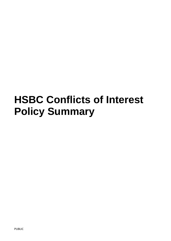# **HSBC Conflicts of Interest Policy Summary**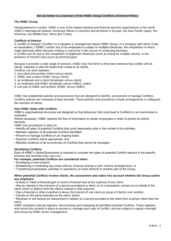## **Set out below is a summary of the HSBC Group Conflicts of Interest Policy**

# **The HSBC Group**

Headquartered in London, HSBC is one of the largest banking and financial services organisations in the world. HSBC's international network comprises offices in countries and territories in Europe, the Asia-Pacific region, the Americas, the Middle East, Africa and Turkey.

## **Conflicts of Interest**

A Conflict of Interest ("Conflict") is a situation or arrangement where HSBC Group, or a company with which it has an association, ("HSBC") and/or any of its employees is subject to multiple influences, the competition of which might adversely affect decision-making or outcomes in the course of conducting business.

A Conflict can be due to the competition of legitimate influences (such as acting for multiple clients), or the presence of harmful ones (such as personal gain).

Because it provides a wide range of services, HSBC may from time to time have interests that conflict with its clients' interests or with the duties that it owes to its clients.

Conflicts can arise between:

- 1. one client and another (client versus client);
- 2. HSBC and a client (HSBC versus client);
- 3. an employee and a client (employee versus client);
- 4. an employee and HSBC (employee versus HSBC); and/or
- 5. one part of HSBC and another (HSBC versus HSBC).

HSBC has established policies and procedures that are designed to identify, and prevent or manage Conflicts. Conflicts policies are reviewed at least annually. These policies and procedures include arrangements to safeguard the interests of clients.

# **How HSBC deals with Conflicts**

HSBC's organisational structures are designed so that behaviour that could lead to Conflicts is not incentivised or rewarded.

Where necessary, HSBC restricts the flow of information to certain employees in order to protect its clients' interests.

HSBC has procedures in place to:

- Identify all types of potential Conflicts that could reasonably arise in the context of its activities;
- Maintain registers of all potential Conflicts identified;
- Prevent or manage Conflicts on an ongoing basis;
- Disclose Conflicts where appropriate; and
- Maintain evidence of all occurrences of Conflicts that cannot be managed.

## **Identifying Conflicts**

Each of HSBC's Global Businesses is required to consider the types of potential Conflict relevant to the specific services and activities they carry out.

#### **For example, potential Conflicts are considered when:**

- Developing a new product;
- Establishing or amending any cross-referral, revenue sharing or joint venture arrangements; or
- Transferring businesses, activities or operations (or parts thereof) to another part of the Group.

#### **When potential Conflicts involve clients, the assessment also takes into account whether the Group and/or any employee:**

- Is likely to make a financial gain or avoid a financial loss at the expense of any client;
- Has an interest in the outcome of a service provided to a client, or of a transaction carried out on behalf of the client, which is distinct from the client's interest in that outcome;
- Has a financial or other incentive to favour the interest of one client (or group of clients) over another;
- Carries on the same business as the client; and/or

• Receives or will receive an inducement in relation to a service provided to the client from a person other than the client.

HSBC maintains internal registers, documenting and evaluating all identified potential Conflicts. These registers also record the controls in place to prevent or manage each type of Conflict, and are subject to regular oversight and review by HSBC senior management.